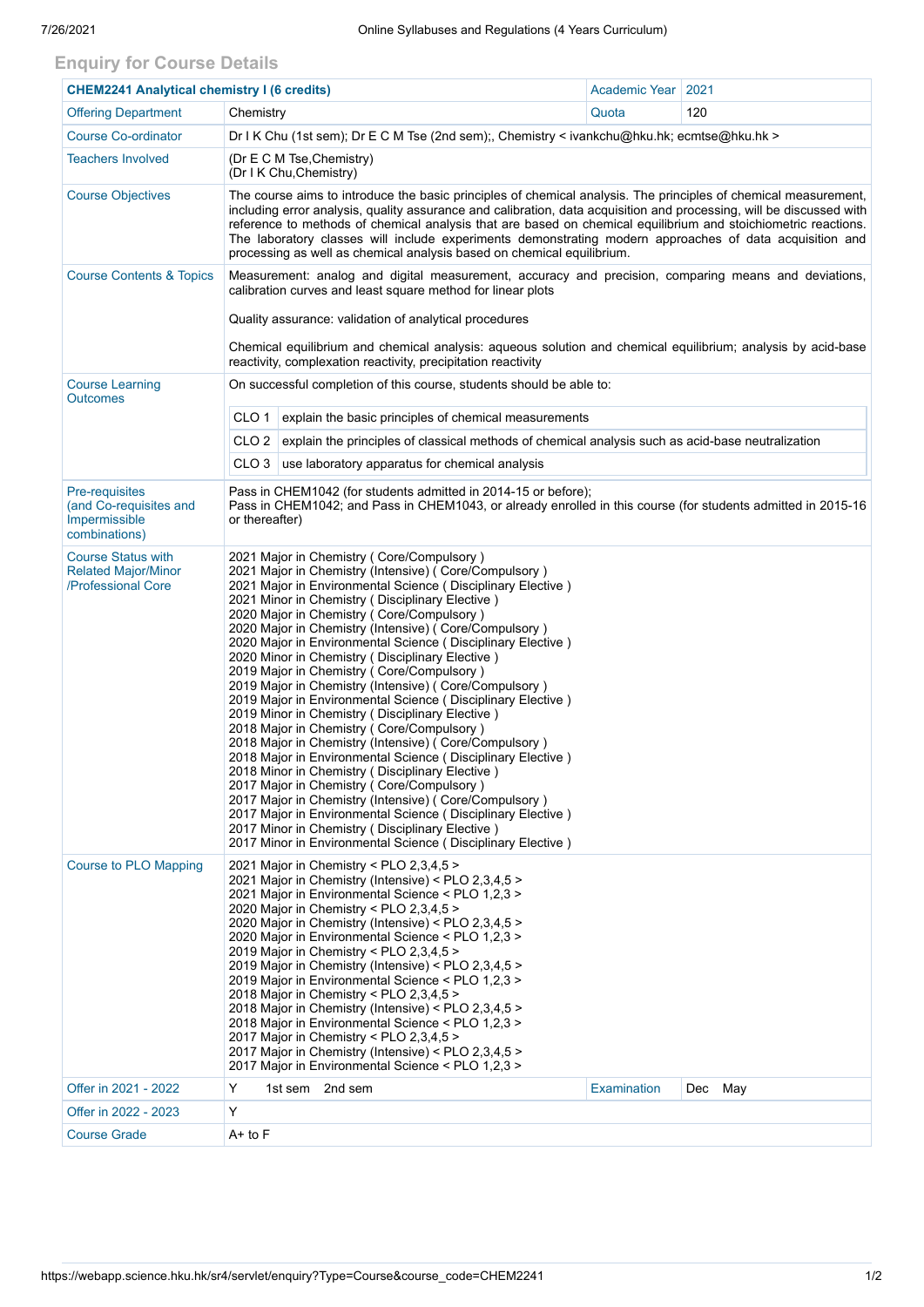## **Enquiry for Course Details**

| <b>CHEM2241 Analytical chemistry I (6 credits)</b>                                |                                                                                                                                                                                                                                                                                                                                                                                                                                                                                                                                                                                                                                                                                                                                                                                                                                                                                                                                                                                                                                                                                                                                                                                           | Academic Year   2021 |         |  |  |  |  |  |  |
|-----------------------------------------------------------------------------------|-------------------------------------------------------------------------------------------------------------------------------------------------------------------------------------------------------------------------------------------------------------------------------------------------------------------------------------------------------------------------------------------------------------------------------------------------------------------------------------------------------------------------------------------------------------------------------------------------------------------------------------------------------------------------------------------------------------------------------------------------------------------------------------------------------------------------------------------------------------------------------------------------------------------------------------------------------------------------------------------------------------------------------------------------------------------------------------------------------------------------------------------------------------------------------------------|----------------------|---------|--|--|--|--|--|--|
| <b>Offering Department</b>                                                        | Chemistry                                                                                                                                                                                                                                                                                                                                                                                                                                                                                                                                                                                                                                                                                                                                                                                                                                                                                                                                                                                                                                                                                                                                                                                 | Quota                | 120     |  |  |  |  |  |  |
| <b>Course Co-ordinator</b>                                                        | Dr I K Chu (1st sem); Dr E C M Tse (2nd sem); Chemistry < ivankchu@hku.hk; ecmtse@hku.hk >                                                                                                                                                                                                                                                                                                                                                                                                                                                                                                                                                                                                                                                                                                                                                                                                                                                                                                                                                                                                                                                                                                |                      |         |  |  |  |  |  |  |
| <b>Teachers Involved</b>                                                          | (Dr E C M Tse, Chemistry)<br>(Dr I K Chu, Chemistry)                                                                                                                                                                                                                                                                                                                                                                                                                                                                                                                                                                                                                                                                                                                                                                                                                                                                                                                                                                                                                                                                                                                                      |                      |         |  |  |  |  |  |  |
| <b>Course Objectives</b>                                                          | The course aims to introduce the basic principles of chemical analysis. The principles of chemical measurement,<br>including error analysis, quality assurance and calibration, data acquisition and processing, will be discussed with<br>reference to methods of chemical analysis that are based on chemical equilibrium and stoichiometric reactions.<br>The laboratory classes will include experiments demonstrating modern approaches of data acquisition and<br>processing as well as chemical analysis based on chemical equilibrium.                                                                                                                                                                                                                                                                                                                                                                                                                                                                                                                                                                                                                                            |                      |         |  |  |  |  |  |  |
| <b>Course Contents &amp; Topics</b>                                               | Measurement: analog and digital measurement, accuracy and precision, comparing means and deviations,<br>calibration curves and least square method for linear plots<br>Quality assurance: validation of analytical procedures<br>Chemical equilibrium and chemical analysis: aqueous solution and chemical equilibrium; analysis by acid-base<br>reactivity, complexation reactivity, precipitation reactivity                                                                                                                                                                                                                                                                                                                                                                                                                                                                                                                                                                                                                                                                                                                                                                            |                      |         |  |  |  |  |  |  |
| <b>Course Learning</b><br><b>Outcomes</b>                                         | On successful completion of this course, students should be able to:                                                                                                                                                                                                                                                                                                                                                                                                                                                                                                                                                                                                                                                                                                                                                                                                                                                                                                                                                                                                                                                                                                                      |                      |         |  |  |  |  |  |  |
|                                                                                   | CLO 1<br>explain the basic principles of chemical measurements                                                                                                                                                                                                                                                                                                                                                                                                                                                                                                                                                                                                                                                                                                                                                                                                                                                                                                                                                                                                                                                                                                                            |                      |         |  |  |  |  |  |  |
|                                                                                   | CLO <sub>2</sub><br>explain the principles of classical methods of chemical analysis such as acid-base neutralization                                                                                                                                                                                                                                                                                                                                                                                                                                                                                                                                                                                                                                                                                                                                                                                                                                                                                                                                                                                                                                                                     |                      |         |  |  |  |  |  |  |
|                                                                                   | CLO <sub>3</sub><br>use laboratory apparatus for chemical analysis                                                                                                                                                                                                                                                                                                                                                                                                                                                                                                                                                                                                                                                                                                                                                                                                                                                                                                                                                                                                                                                                                                                        |                      |         |  |  |  |  |  |  |
| <b>Pre-requisites</b><br>(and Co-requisites and<br>Impermissible<br>combinations) | Pass in CHEM1042 (for students admitted in 2014-15 or before);<br>Pass in CHEM1042; and Pass in CHEM1043, or already enrolled in this course (for students admitted in 2015-16<br>or thereafter)                                                                                                                                                                                                                                                                                                                                                                                                                                                                                                                                                                                                                                                                                                                                                                                                                                                                                                                                                                                          |                      |         |  |  |  |  |  |  |
| <b>Course Status with</b><br><b>Related Major/Minor</b><br>/Professional Core     | 2021 Major in Chemistry (Core/Compulsory)<br>2021 Major in Chemistry (Intensive) (Core/Compulsory)<br>2021 Major in Environmental Science (Disciplinary Elective)<br>2021 Minor in Chemistry (Disciplinary Elective)<br>2020 Major in Chemistry ( Core/Compulsory )<br>2020 Major in Chemistry (Intensive) ( Core/Compulsory )<br>2020 Major in Environmental Science (Disciplinary Elective)<br>2020 Minor in Chemistry (Disciplinary Elective)<br>2019 Major in Chemistry (Core/Compulsory)<br>2019 Major in Chemistry (Intensive) (Core/Compulsory)<br>2019 Major in Environmental Science (Disciplinary Elective)<br>2019 Minor in Chemistry (Disciplinary Elective)<br>2018 Major in Chemistry (Core/Compulsory)<br>2018 Major in Chemistry (Intensive) (Core/Compulsory)<br>2018 Major in Environmental Science (Disciplinary Elective)<br>2018 Minor in Chemistry (Disciplinary Elective)<br>2017 Major in Chemistry (Core/Compulsory)<br>2017 Major in Chemistry (Intensive) (Core/Compulsory)<br>2017 Major in Environmental Science ( Disciplinary Elective )<br>2017 Minor in Chemistry (Disciplinary Elective)<br>2017 Minor in Environmental Science (Disciplinary Elective) |                      |         |  |  |  |  |  |  |
| <b>Course to PLO Mapping</b>                                                      | 2021 Major in Chemistry < PLO 2,3,4,5 ><br>2021 Major in Chemistry (Intensive) < PLO 2,3,4,5 ><br>2021 Major in Environmental Science < PLO 1,2,3 ><br>2020 Major in Chemistry < PLO 2,3,4,5 ><br>2020 Major in Chemistry (Intensive) < PLO 2,3,4,5 ><br>2020 Major in Environmental Science < PLO 1,2,3 ><br>2019 Major in Chemistry < PLO 2,3,4,5 ><br>2019 Major in Chemistry (Intensive) < PLO 2,3,4,5 ><br>2019 Major in Environmental Science < PLO 1,2,3 ><br>2018 Major in Chemistry < PLO 2,3,4,5 ><br>2018 Major in Chemistry (Intensive) < PLO 2,3,4,5 ><br>2018 Major in Environmental Science < PLO 1,2,3 ><br>2017 Major in Chemistry < PLO 2,3,4,5 ><br>2017 Major in Chemistry (Intensive) < PLO 2,3,4,5 ><br>2017 Major in Environmental Science < PLO 1,2,3 >                                                                                                                                                                                                                                                                                                                                                                                                           |                      |         |  |  |  |  |  |  |
| Offer in 2021 - 2022                                                              | Y<br>1st sem 2nd sem                                                                                                                                                                                                                                                                                                                                                                                                                                                                                                                                                                                                                                                                                                                                                                                                                                                                                                                                                                                                                                                                                                                                                                      | Examination          | Dec May |  |  |  |  |  |  |
| Offer in 2022 - 2023                                                              | Υ                                                                                                                                                                                                                                                                                                                                                                                                                                                                                                                                                                                                                                                                                                                                                                                                                                                                                                                                                                                                                                                                                                                                                                                         |                      |         |  |  |  |  |  |  |
| <b>Course Grade</b>                                                               | A+ to F                                                                                                                                                                                                                                                                                                                                                                                                                                                                                                                                                                                                                                                                                                                                                                                                                                                                                                                                                                                                                                                                                                                                                                                   |                      |         |  |  |  |  |  |  |